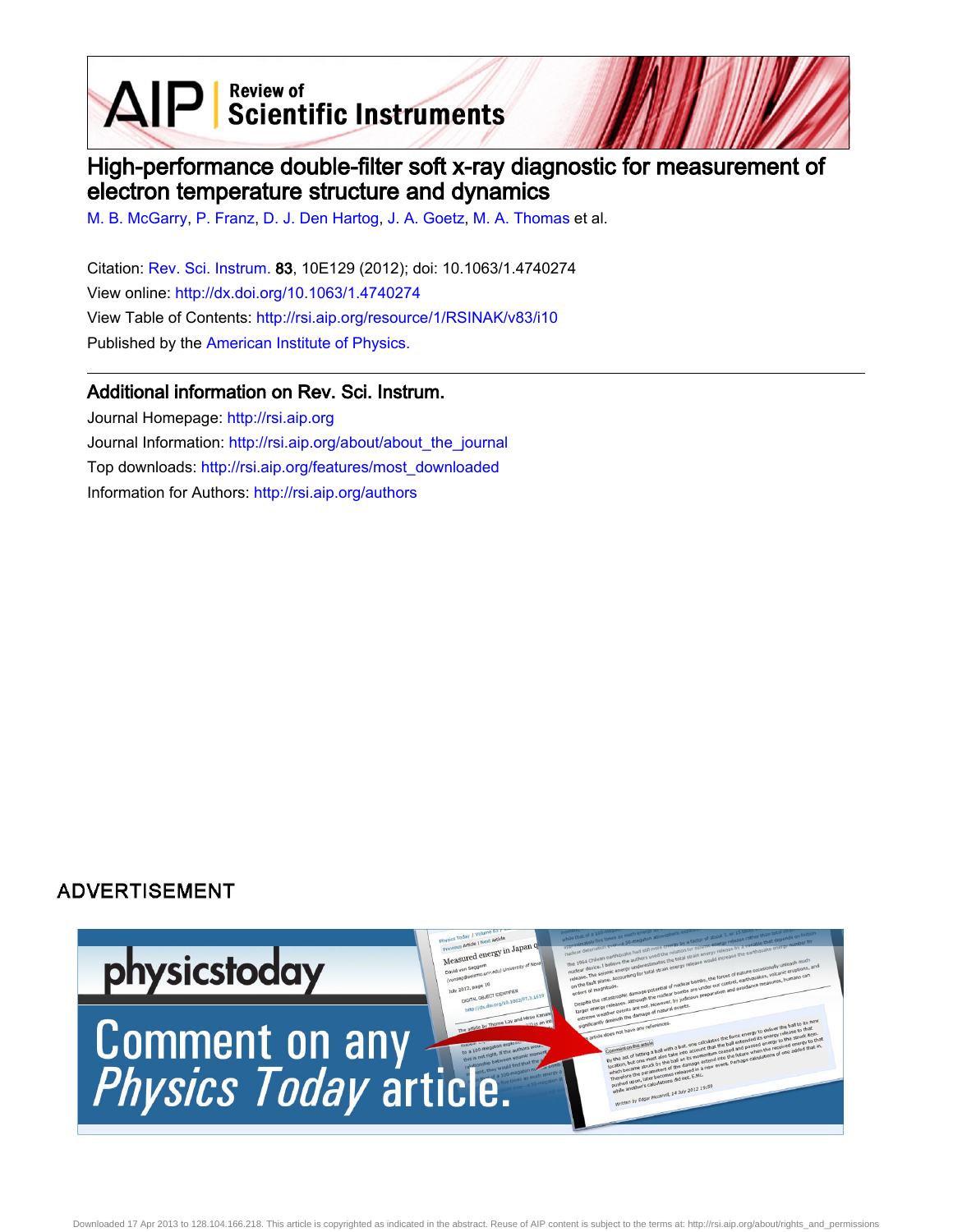$\mathbf{A} \mathbf{P}$  Scientific Instruments

# High-performance double-filter soft x-ray diagnostic for measurement of electron temperature structure and dynamics

[M. B. McGarry](http://rsi.aip.org/search?sortby=newestdate&q=&searchzone=2&searchtype=searchin&faceted=faceted&key=AIP_ALL&possible1=M. B. McGarry&possible1zone=author&alias=&displayid=AIP&ver=pdfcov), [P. Franz,](http://rsi.aip.org/search?sortby=newestdate&q=&searchzone=2&searchtype=searchin&faceted=faceted&key=AIP_ALL&possible1=P. Franz&possible1zone=author&alias=&displayid=AIP&ver=pdfcov) [D. J. Den Hartog,](http://rsi.aip.org/search?sortby=newestdate&q=&searchzone=2&searchtype=searchin&faceted=faceted&key=AIP_ALL&possible1=D. J. Den Hartog&possible1zone=author&alias=&displayid=AIP&ver=pdfcov) [J. A. Goetz,](http://rsi.aip.org/search?sortby=newestdate&q=&searchzone=2&searchtype=searchin&faceted=faceted&key=AIP_ALL&possible1=J. A. Goetz&possible1zone=author&alias=&displayid=AIP&ver=pdfcov) [M. A. Thomas](http://rsi.aip.org/search?sortby=newestdate&q=&searchzone=2&searchtype=searchin&faceted=faceted&key=AIP_ALL&possible1=M. A. Thomas&possible1zone=author&alias=&displayid=AIP&ver=pdfcov) et al.

Citation: [Rev. Sci. Instrum.](http://rsi.aip.org?ver=pdfcov) 83, 10E129 (2012); doi: 10.1063/1.4740274 View online: [http://dx.doi.org/10.1063/1.4740274](http://link.aip.org/link/doi/10.1063/1.4740274?ver=pdfcov) View Table of Contents: [http://rsi.aip.org/resource/1/RSINAK/v83/i10](http://rsi.aip.org/resource/1/RSINAK/v83/i10?ver=pdfcov) Published by the [American Institute of Physics.](http://www.aip.org/?ver=pdfcov)

## Additional information on Rev. Sci. Instrum.

Journal Homepage: [http://rsi.aip.org](http://rsi.aip.org?ver=pdfcov) Journal Information: [http://rsi.aip.org/about/about\\_the\\_journal](http://rsi.aip.org/about/about_the_journal?ver=pdfcov) Top downloads: [http://rsi.aip.org/features/most\\_downloaded](http://rsi.aip.org/features/most_downloaded?ver=pdfcov) Information for Authors: [http://rsi.aip.org/authors](http://rsi.aip.org/authors?ver=pdfcov)

## **ADVERTISEMENT**

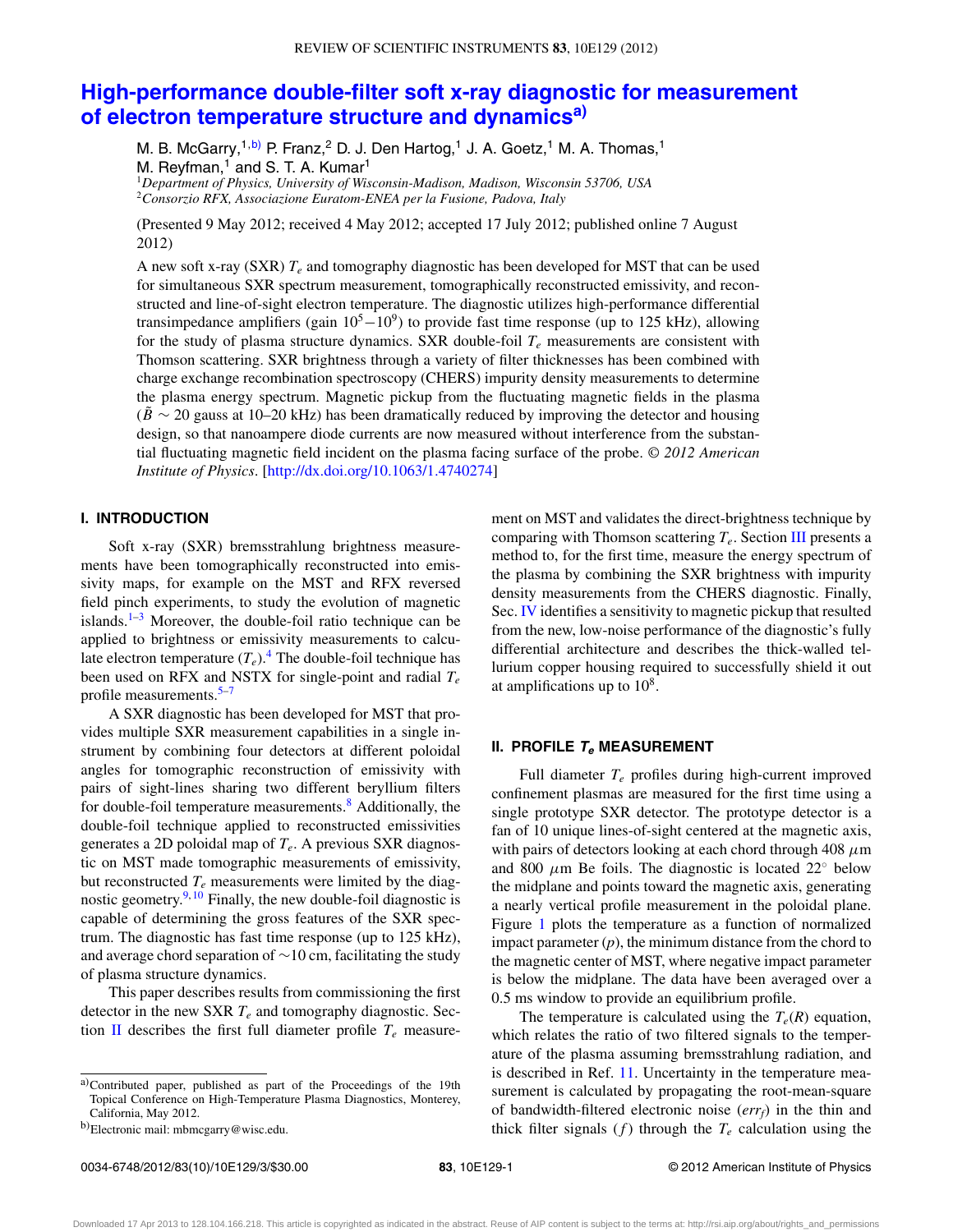## **[High-performance double-filter soft x-ray diagnostic for measurement](http://dx.doi.org/10.1063/1.4740274) [of electron temperature structure and dynamics](http://dx.doi.org/10.1063/1.4740274)[a\)](#page-1-0)**

M. B. McGarry,<sup>1[,b\)](#page-1-1)</sup> P. Franz,<sup>2</sup> D. J. Den Hartog,<sup>1</sup> J. A. Goetz,<sup>1</sup> M. A. Thomas,<sup>1</sup> M. Reyfman, $<sup>1</sup>$  and S. T. A. Kumar<sup>1</sup></sup>

<sup>1</sup>*Department of Physics, University of Wisconsin-Madison, Madison, Wisconsin 53706, USA* <sup>2</sup>*Consorzio RFX, Associazione Euratom-ENEA per la Fusione, Padova, Italy*

(Presented 9 May 2012; received 4 May 2012; accepted 17 July 2012; published online 7 August 2012)

A new soft x-ray (SXR)  $T_e$  and tomography diagnostic has been developed for MST that can be used for simultaneous SXR spectrum measurement, tomographically reconstructed emissivity, and reconstructed and line-of-sight electron temperature. The diagnostic utilizes high-performance differential transimpedance amplifiers (gain  $10^5 - 10^9$ ) to provide fast time response (up to 125 kHz), allowing for the study of plasma structure dynamics. SXR double-foil  $T_e$  measurements are consistent with Thomson scattering. SXR brightness through a variety of filter thicknesses has been combined with charge exchange recombination spectroscopy (CHERS) impurity density measurements to determine the plasma energy spectrum. Magnetic pickup from the fluctuating magnetic fields in the plasma  $(\dot{B} \sim 20)$  gauss at 10–20 kHz) has been dramatically reduced by improving the detector and housing design, so that nanoampere diode currents are now measured without interference from the substantial fluctuating magnetic field incident on the plasma facing surface of the probe. *© 2012 American Institute of Physics*. [\[http://dx.doi.org/10.1063/1.4740274\]](http://dx.doi.org/10.1063/1.4740274)

### **I. INTRODUCTION**

Soft x-ray (SXR) bremsstrahlung brightness measurements have been tomographically reconstructed into emissivity maps, for example on the MST and RFX reversed field pinch experiments, to study the evolution of magnetic islands. $1-3$  $1-3$  Moreover, the double-foil ratio technique can be applied to brightness or emissivity measurements to calculate electron temperature  $(T_e)$ .<sup>[4](#page-3-2)</sup> The double-foil technique has been used on RFX and NSTX for single-point and radial *Te* profile measurements. $5-7$ 

A SXR diagnostic has been developed for MST that provides multiple SXR measurement capabilities in a single instrument by combining four detectors at different poloidal angles for tomographic reconstruction of emissivity with pairs of sight-lines sharing two different beryllium filters for double-foil temperature measurements.<sup>8</sup> Additionally, the double-foil technique applied to reconstructed emissivities generates a 2D poloidal map of *Te*. A previous SXR diagnostic on MST made tomographic measurements of emissivity, but reconstructed  $T_e$  measurements were limited by the diagnostic geometry. $9,10$  $9,10$  Finally, the new double-foil diagnostic is capable of determining the gross features of the SXR spectrum. The diagnostic has fast time response (up to 125 kHz), and average chord separation of ∼10 cm, facilitating the study of plasma structure dynamics.

This paper describes results from commissioning the first detector in the new SXR *Te* and tomography diagnostic. Sec-tion [II](#page-1-2) describes the first full diameter profile  $T_e$  measurement on MST and validates the direct-brightness technique by comparing with Thomson scattering *Te*. Section [III](#page-2-0) presents a method to, for the first time, measure the energy spectrum of the plasma by combining the SXR brightness with impurity density measurements from the CHERS diagnostic. Finally, Sec. [IV](#page-2-1) identifies a sensitivity to magnetic pickup that resulted from the new, low-noise performance of the diagnostic's fully differential architecture and describes the thick-walled tellurium copper housing required to successfully shield it out at amplifications up to  $10^8$ .

#### <span id="page-1-2"></span>**II. PROFILE T<sup>e</sup> MEASUREMENT**

Full diameter *Te* profiles during high-current improved confinement plasmas are measured for the first time using a single prototype SXR detector. The prototype detector is a fan of 10 unique lines-of-sight centered at the magnetic axis, with pairs of detectors looking at each chord through 408 *μ*m and 800  $\mu$ m Be foils. The diagnostic is located 22° below the midplane and points toward the magnetic axis, generating a nearly vertical profile measurement in the poloidal plane. Figure [1](#page-2-2) plots the temperature as a function of normalized impact parameter (*p*), the minimum distance from the chord to the magnetic center of MST, where negative impact parameter is below the midplane. The data have been averaged over a 0.5 ms window to provide an equilibrium profile.

The temperature is calculated using the  $T_e(R)$  equation, which relates the ratio of two filtered signals to the temperature of the plasma assuming bremsstrahlung radiation, and is described in Ref. [11.](#page-3-8) Uncertainty in the temperature measurement is calculated by propagating the root-mean-square of bandwidth-filtered electronic noise (*errf*) in the thin and thick filter signals  $(f)$  through the  $T_e$  calculation using the

<span id="page-1-0"></span>a)Contributed paper, published as part of the Proceedings of the 19th Topical Conference on High-Temperature Plasma Diagnostics, Monterey, California, May 2012.

<span id="page-1-1"></span>b)Electronic mail: [mbmcgarry@wisc.edu.](mailto: mbmcgarry@wisc.edu)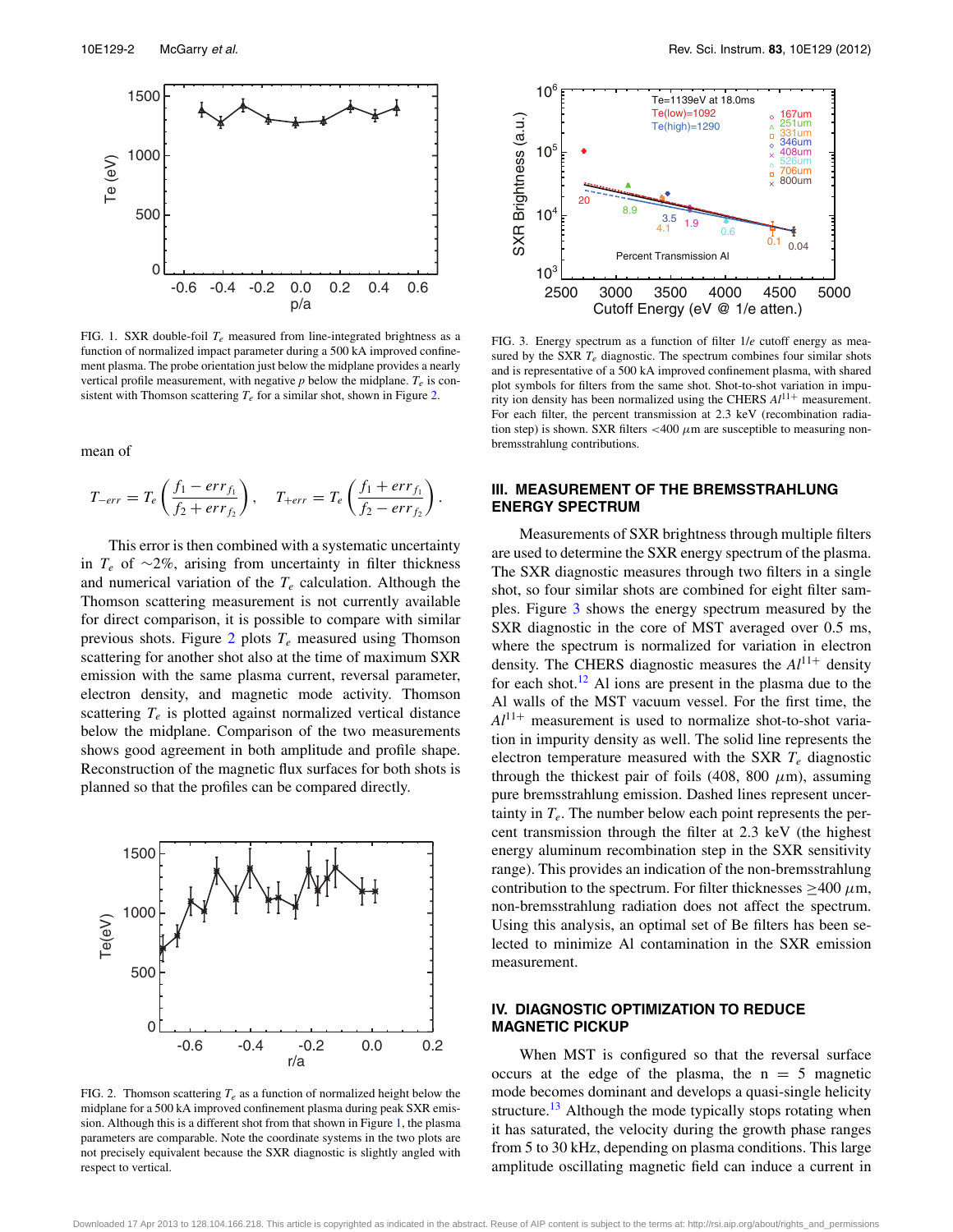<span id="page-2-2"></span>

FIG. 1. SXR double-foil  $T_e$  measured from line-integrated brightness as a function of normalized impact parameter during a 500 kA improved confinement plasma. The probe orientation just below the midplane provides a nearly vertical profile measurement, with negative  $p$  below the midplane.  $T_e$  is consistent with Thomson scattering  $T_e$  for a similar shot, shown in Figure [2.](#page-2-3)

mean of

$$
T_{-err} = T_e \left( \frac{f_1 - err_{f_1}}{f_2 + err_{f_2}} \right), \quad T_{+err} = T_e \left( \frac{f_1 + err_{f_1}}{f_2 - err_{f_2}} \right).
$$

This error is then combined with a systematic uncertainty in *Te* of ∼2%, arising from uncertainty in filter thickness and numerical variation of the  $T_e$  calculation. Although the Thomson scattering measurement is not currently available for direct comparison, it is possible to compare with similar previous shots. Figure [2](#page-2-3) plots *Te* measured using Thomson scattering for another shot also at the time of maximum SXR emission with the same plasma current, reversal parameter, electron density, and magnetic mode activity. Thomson scattering  $T_e$  is plotted against normalized vertical distance below the midplane. Comparison of the two measurements shows good agreement in both amplitude and profile shape. Reconstruction of the magnetic flux surfaces for both shots is planned so that the profiles can be compared directly.

<span id="page-2-3"></span>

FIG. 2. Thomson scattering  $T_e$  as a function of normalized height below the midplane for a 500 kA improved confinement plasma during peak SXR emission. Although this is a different shot from that shown in Figure [1,](#page-2-2) the plasma parameters are comparable. Note the coordinate systems in the two plots are not precisely equivalent because the SXR diagnostic is slightly angled with respect to vertical.

<span id="page-2-4"></span>

FIG. 3. Energy spectrum as a function of filter 1/*e* cutoff energy as measured by the SXR  $T_e$  diagnostic. The spectrum combines four similar shots and is representative of a 500 kA improved confinement plasma, with shared plot symbols for filters from the same shot. Shot-to-shot variation in impurity ion density has been normalized using the CHERS *Al*11<sup>+</sup> measurement. For each filter, the percent transmission at 2.3 keV (recombination radiation step) is shown. SXR filters  $\langle 400 \mu \text{m} \rangle$  are susceptible to measuring nonbremsstrahlung contributions.

### <span id="page-2-0"></span>**III. MEASUREMENT OF THE BREMSSTRAHLUNG ENERGY SPECTRUM**

Measurements of SXR brightness through multiple filters are used to determine the SXR energy spectrum of the plasma. The SXR diagnostic measures through two filters in a single shot, so four similar shots are combined for eight filter samples. Figure [3](#page-2-4) shows the energy spectrum measured by the SXR diagnostic in the core of MST averaged over 0.5 ms, where the spectrum is normalized for variation in electron density. The CHERS diagnostic measures the *Al*11<sup>+</sup> density for each shot.<sup>[12](#page-3-9)</sup> Al ions are present in the plasma due to the Al walls of the MST vacuum vessel. For the first time, the  $Al^{11+}$  measurement is used to normalize shot-to-shot variation in impurity density as well. The solid line represents the electron temperature measured with the SXR *Te* diagnostic through the thickest pair of foils (408, 800  $\mu$ m), assuming pure bremsstrahlung emission. Dashed lines represent uncertainty in  $T_e$ . The number below each point represents the percent transmission through the filter at 2.3 keV (the highest energy aluminum recombination step in the SXR sensitivity range). This provides an indication of the non-bremsstrahlung contribution to the spectrum. For filter thicknesses  $\geq$ 400  $\mu$ m, non-bremsstrahlung radiation does not affect the spectrum. Using this analysis, an optimal set of Be filters has been selected to minimize Al contamination in the SXR emission measurement.

### <span id="page-2-1"></span>**IV. DIAGNOSTIC OPTIMIZATION TO REDUCE MAGNETIC PICKUP**

When MST is configured so that the reversal surface occurs at the edge of the plasma, the  $n = 5$  magnetic mode becomes dominant and develops a quasi-single helicity structure.<sup>13</sup> Although the mode typically stops rotating when it has saturated, the velocity during the growth phase ranges from 5 to 30 kHz, depending on plasma conditions. This large amplitude oscillating magnetic field can induce a current in

Downloaded 17 Apr 2013 to 128.104.166.218. This article is copyrighted as indicated in the abstract. Reuse of AIP content is subject to the terms at: http://rsi.aip.org/about/rights\_and\_permissions